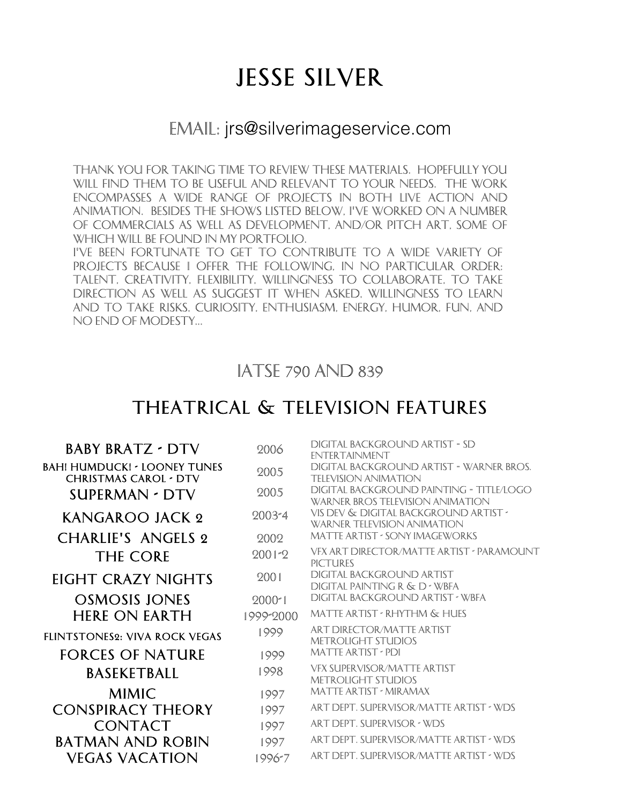# Jesse Silver

#### Email: jrs@silverimageservice.com

Thank you for taking time to review these materials. Hopefully you will find them to be useful and relevant to your needs. The work encompasses a wide range of projects in both live action and animation. Besides the shows listed below, I've worked on a number of commercials as well as development, and/or pitch art, some of which will be found in my portfolio.

I've been fortunate to get to contribute to a wide variety of Projects because I offer the following, in no particular order: talent, creativity, flexibility, willingness to collaborate, To take direction as well as suggest it when asked, willingness to learn and to take risks, curiosity, enthusiasm, energy, Humor, fun, and no end of modesty...

#### IATSE 790 and 839

#### THEATRICAL & TELEVISION FEATURES

| <b>BABY BRATZ - DTV</b>                                             | 2006       | DIGITAL BACKGROUND ARTIST - SD<br><b>ENTER TAINMENT</b>                             |
|---------------------------------------------------------------------|------------|-------------------------------------------------------------------------------------|
| <b>BAH! HUMDUCK! - LOONEY TUNES</b><br><b>CHRISTMAS CAROL - DTV</b> | 2005       | DIGITAL BACKGROUND ARTIST - WARNER BROS.<br><b>TELEVISION ANIMATION</b>             |
| <b>SUPERMAN - DTV</b>                                               | 2005       | DIGITAL BACKGROUND PAINTING - TITLE/LOGO<br><b>WARNER BROS TELEVISION ANIMATION</b> |
| KANGAROO JACK 2                                                     | 2003-4     | VIS DEV & DIGITAL BACKGROUND ARTIST -<br><b>WARNER TELEVISION ANIMATION</b>         |
| <b>CHARLIE'S ANGELS 2</b>                                           | 2002       | <b>MATTE ARTIST - SONY IMAGEWORKS</b>                                               |
| <b>THE CORE</b>                                                     | $2001 - 2$ | VEX ART DIRECTOR/MATTE ARTIST - PARAMOUNT<br><b>PICTURES</b>                        |
| EIGHT CRAZY NIGHTS                                                  | 2001       | <b>DIGITAL BACKGROUND ARTIST</b><br>DIGITAL PAINTING R & D - WBFA                   |
| <b>OSMOSIS JONES</b>                                                | 2000*1     | DIGITAL BACKGROUND ARTIST - WBFA                                                    |
| <b>HERE ON EARTH</b>                                                | 1999-2000  | <b>MATTE ARTIST - RHYTHM &amp; HUES</b>                                             |
| <b>FLINTSTONES2: VIVA ROCK VEGAS</b>                                | 1999       | ART DIRECTOR/MATTE ARTIST<br><b>METROLIGHT STUDIOS</b>                              |
| <b>FORCES OF NATURE</b>                                             | 1999       | <b>MATTE ARTIST - PDI</b>                                                           |
| <b>BASEKETBALL</b>                                                  | 1998       | <b>VFX SUPERVISOR/MATTE ARTIST</b><br><b>METROLIGHT STUDIOS</b>                     |
| <b>MIMIC</b>                                                        | 1997       | <b>MATTE ARTIST - MIRAMAX</b>                                                       |
| <b>CONSPIRACY THEORY</b>                                            | 1997       | ART DEPT. SUPERVISOR/MATTE ARTIST - WDS                                             |
| <b>CONTACT</b>                                                      | 1997       | ART DEPT. SUPERVISOR - WDS                                                          |
| <b>BATMAN AND ROBIN</b>                                             | 1997       | ART DEPT. SUPERVISOR/MATTE ARTIST • WDS                                             |
| Vegas vacation                                                      | 1996-7     | ART DEPT. SUPERVISOR/MATTE ARTIST - WDS                                             |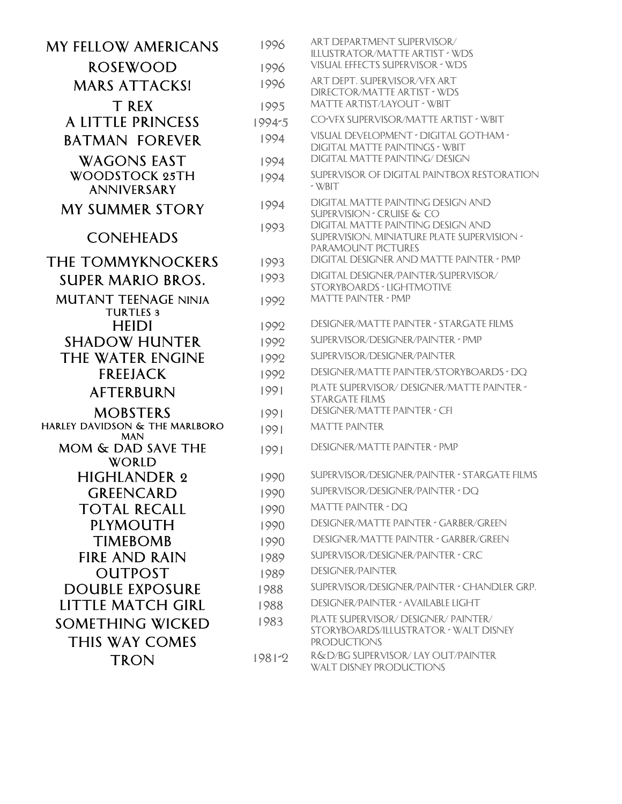| <b>MY FELLOW AMERICANS</b>                      | 1996       | ART DEPARTMENT SUPERVISOR/<br>ILLUSTRATOR/MATTE ARTIST · WDS                                                 |
|-------------------------------------------------|------------|--------------------------------------------------------------------------------------------------------------|
| <b>ROSEWOOD</b>                                 | 1996       | <b>VISUAL EFFECTS SUPERVISOR - WDS</b>                                                                       |
| <b>MARS ATTACKS!</b>                            | 1996       | ART DEPT. SUPERVISOR/VFX ART<br><b>DIRECTOR/MATTE ARTIST - WDS</b>                                           |
| T REX                                           | 1995       | MATTE ARTIST/LAYOUT - WBIT                                                                                   |
| A LITTLE PRINCESS                               | 1994-5     | CO-VFX SUPERVISOR/MATTE ARTIST - WBIT                                                                        |
| <b>BATMAN FOREVER</b>                           | 1994       | VISUAL DEVELOPMENT - DIGITAL GOTHAM -<br>DIGITAL MATTE PAINTINGS - WBIT                                      |
| <b>WAGONS EAST</b>                              | 1994       | <b>DIGITAL MATTE PAINTING/ DESIGN</b>                                                                        |
| <b>WOODSTOCK 25TH</b><br><b>ANNIVERSARY</b>     | 1994       | SUPERVISOR OF DIGITAL PAINTBOX RESTORATION<br>$\sim$ WBIT                                                    |
| <b>MY SUMMER STORY</b>                          | 1994       | DIGITAL MATTE PAINTING DESIGN AND<br><b>SUPERVISION - CRUISE &amp; CO</b>                                    |
| <b>CONEHEADS</b>                                | 1993       | DIGITAL MATTE PAINTING DESIGN AND<br>SUPERVISION, MINIATURE PLATE SUPERVISION -<br><b>PARAMOUNT PICTURES</b> |
| <b>THE TOMMYKNOCKERS</b>                        | 1993       | DIGITAL DESIGNER AND MATTE PAINTER - PMP<br>DIGITAL DESIGNER/PAINTER/SUPERVISOR/                             |
| <b>SUPER MARIO BROS.</b>                        | 1993       | <b>STORYBOARDS - LIGHTMOTIVE</b>                                                                             |
| <b>MUTANT TEENAGE NINJA</b><br><b>TURTLES 3</b> | 1992       | <b>MATTE PAINTER - PMP</b>                                                                                   |
| <b>HEIDI</b>                                    | 1992       | <b>DESIGNER/MATTE PAINTER - STARGATE FILMS</b>                                                               |
| <b>SHADOW HUNTER</b>                            | 1992       | SUPERVISOR/DESIGNER/PAINTER - PMP                                                                            |
| <b>THE WATER ENGINE</b>                         | 1992       | SUPERVISOR/DESIGNER/PAINTER                                                                                  |
| <b>FREEJACK</b>                                 | 1992       | DESIGNER/MATTE PAINTER/STORYBOARDS * DQ                                                                      |
| <b>AFTERBURN</b>                                | 1991       | PLATE SUPERVISOR/ DESIGNER/MATTE PAINTER *<br><b>STARGATE FILMS</b>                                          |
| <b>MOBSTERS</b>                                 | 1991       | <b>DESIGNER/MATTE PAINTER - CFI</b>                                                                          |
| HARLEY DAVIDSON & THE MARLBORO<br><b>MAN</b>    | 1991       | <b>MATTE PAINTER</b>                                                                                         |
| MOM & DAD SAVE THE<br><b>WORLD</b>              | 1991       | <b>DESIGNER/MATTE PAINTER - PMP</b>                                                                          |
| <b>HIGHLANDER 2</b>                             | 1990       | SUPERVISOR/DESIGNER/PAINTER - STARGATE FILMS                                                                 |
| <b>GREENCARD</b>                                | 1990       | SUPERVISOR/DESIGNER/PAINTER - DQ                                                                             |
| <b>TOTAL RECALL</b>                             | 1990       | <b>MATTE PAINTER - DQ</b>                                                                                    |
| PLYMOUTH                                        | 1990       | DESIGNER/MATTE PAINTER - GARBER/GREEN                                                                        |
| <b>TIMEBOMB</b>                                 | 1990       | DESIGNER/MATTE PAINTER - GARBER/GREEN                                                                        |
| <b>FIRE AND RAIN</b>                            | 1989       | SUPERVISOR/DESIGNER/PAINTER - CRC                                                                            |
| <b>OUTPOST</b>                                  | 1989       | <b>DESIGNER/PAINTER</b>                                                                                      |
| <b>DOUBLE EXPOSURE</b>                          | 1988       | SUPERVISOR/DESIGNER/PAINTER - CHANDLER GRP.                                                                  |
| LITTLE MATCH GIRL                               | 1988       | DESIGNER/PAINTER - AVAILABLE LIGHT                                                                           |
| <b>SOMETHING WICKED</b>                         | 1983       | PLATE SUPERVISOR/ DESIGNER/ PAINTER/<br>STORYBOARDS/ILLUSTRATOR · WALT DISNEY                                |
| <b>THIS WAY COMES</b>                           |            | <b>PRODUCTIONS</b>                                                                                           |
| <b>TRON</b>                                     | $1981 - 2$ | R&D/BG SUPERVISOR/ LAY OUT/PAINTER<br><b>WALT DISNEY PRODUCTIONS</b>                                         |